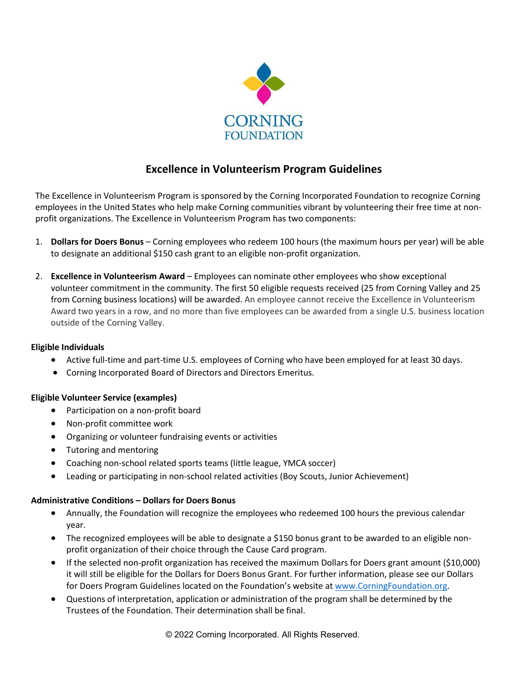

# **Excellence in Volunteerism Program Guidelines**

The Excellence in Volunteerism Program is sponsored by the Corning Incorporated Foundation to recognize Corning employees in the United States who help make Corning communities vibrant by volunteering their free time at nonprofit organizations. The Excellence in Volunteerism Program has two components:

- 1. **Dollars for Doers Bonus** Corning employees who redeem 100 hours (the maximum hours per year) will be able to designate an additional \$150 cash grant to an eligible non-profit organization.
- 2. **Excellence in Volunteerism Award** Employees can nominate other employees who show exceptional volunteer commitment in the community. The first 50 eligible requests received (25 from Corning Valley and 25 from Corning business locations) will be awarded. An employee cannot receive the Excellence in Volunteerism Award two years in a row, and no more than five employees can be awarded from a single U.S. business location outside of the Corning Valley.

## **Eligible Individuals**

- Active full-time and part-time U.S. employees of Corning who have been employed for at least 30 days.
- Corning Incorporated Board of Directors and Directors Emeritus.

## **Eligible Volunteer Service (examples)**

- Participation on a non-profit board
- Non-profit committee work
- Organizing or volunteer fundraising events or activities
- Tutoring and mentoring
- Coaching non-school related sports teams (little league, YMCA soccer)
- Leading or participating in non-school related activities (Boy Scouts, Junior Achievement)

## **Administrative Conditions – Dollars for Doers Bonus**

- Annually, the Foundation will recognize the employees who redeemed 100 hours the previous calendar year.
- The recognized employees will be able to designate a \$150 bonus grant to be awarded to an eligible nonprofit organization of their choice through the Cause Card program.
- If the selected non-profit organization has received the maximum Dollars for Doers grant amount (\$10,000) it will still be eligible for the Dollars for Doers Bonus Grant. For further information, please see our Dollars for Doers Program Guidelines located on the Foundation's website a[t www.CorningFoundation.org.](http://www.corningfoundation.org/)
- Questions of interpretation, application or administration of the program shall be determined by the Trustees of the Foundation. Their determination shall be final.

© 2022 Corning Incorporated. All Rights Reserved.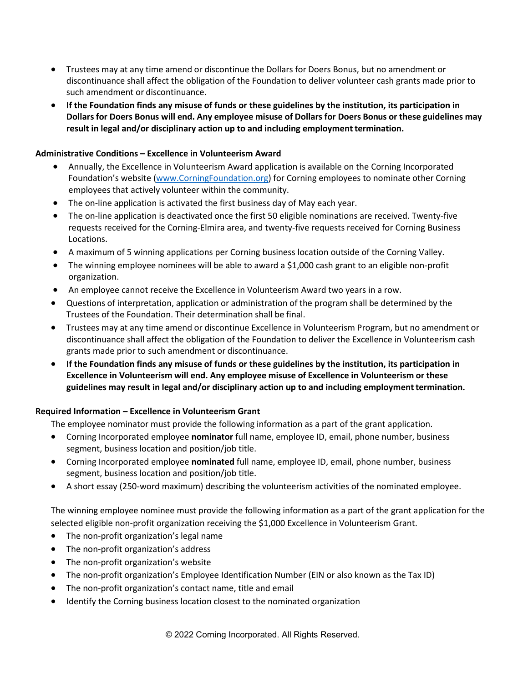- Trustees may at any time amend or discontinue the Dollars for Doers Bonus, but no amendment or discontinuance shall affect the obligation of the Foundation to deliver volunteer cash grants made prior to such amendment or discontinuance.
- **If the Foundation finds any misuse of funds or these guidelines by the institution, its participation in Dollarsfor Doers Bonus will end. Any employee misuse of Dollars for Doers Bonus or these guidelines may**  result in legal and/or disciplinary action up to and including employment termination.

### **Administrative Conditions – Excellence in Volunteerism Award**

- Annually, the Excellence in Volunteerism Award application is available on the Corning Incorporated Foundation's website [\(www.CorningFoundation.org\)](http://www.corningfoundation.org/) for Corning employees to nominate other Corning employees that actively volunteer within the community.
- The on-line application is activated the first business day of May each year.
- The on-line application is deactivated once the first 50 eligible nominations are received. Twenty-five requests received for the Corning-Elmira area, and twenty-five requests received for Corning Business Locations.
- A maximum of 5 winning applications per Corning business location outside of the Corning Valley.
- The winning employee nominees will be able to award a \$1,000 cash grant to an eligible non-profit organization.
- An employee cannot receive the Excellence in Volunteerism Award two years in a row.
- Questions of interpretation, application or administration of the program shall be determined by the Trustees of the Foundation. Their determination shall be final.
- Trustees may at any time amend or discontinue Excellence in Volunteerism Program, but no amendment or discontinuance shall affect the obligation of the Foundation to deliver the Excellence in Volunteerism cash grants made prior to such amendment or discontinuance.
- **If the Foundation finds any misuse of funds or these guidelines by the institution, its participation in Excellence in Volunteerism will end. Any employee misuse of Excellence in Volunteerism or these** guidelines may result in legal and/or disciplinary action up to and including employment termination.

#### **Required Information – Excellence in Volunteerism Grant**

The employee nominator must provide the following information as a part of the grant application.

- Corning Incorporated employee **nominator** full name, employee ID, email, phone number, business segment, business location and position/job title.
- Corning Incorporated employee **nominated** full name, employee ID, email, phone number, business segment, business location and position/job title.
- A short essay (250-word maximum) describing the volunteerism activities of the nominated employee.

The winning employee nominee must provide the following information as a part of the grant application for the selected eligible non-profit organization receiving the \$1,000 Excellence in Volunteerism Grant.

- The non-profit organization's legal name
- The non-profit organization's address
- The non-profit organization's website
- The non-profit organization's Employee Identification Number (EIN or also known as the Tax ID)
- The non-profit organization's contact name, title and email
- Identify the Corning business location closest to the nominated organization